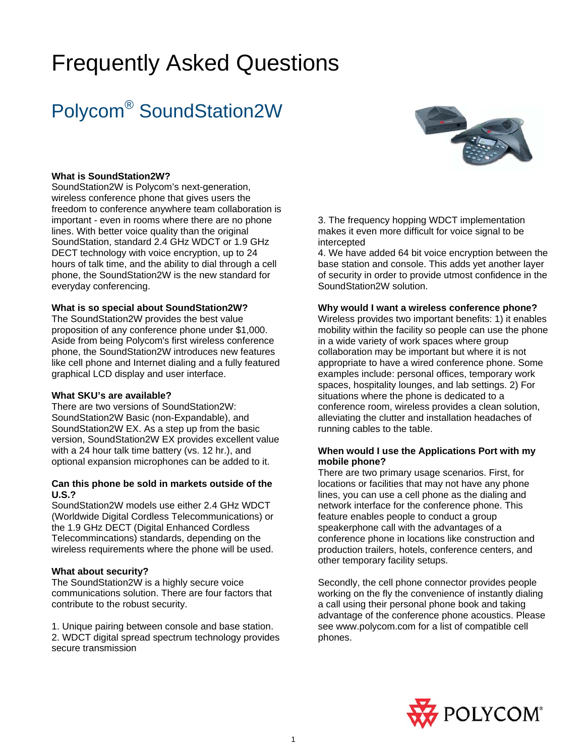# Frequently Asked Questions

## Polycom® SoundStation2W



## **What is SoundStation2W?**

SoundStation2W is Polycom's next-generation, wireless conference phone that gives users the freedom to conference anywhere team collaboration is important - even in rooms where there are no phone lines. With better voice quality than the original SoundStation, standard 2.4 GHz WDCT or 1.9 GHz DECT technology with voice encryption, up to 24 hours of talk time, and the ability to dial through a cell phone, the SoundStation2W is the new standard for everyday conferencing.

#### **What is so special about SoundStation2W?**

The SoundStation2W provides the best value proposition of any conference phone under \$1,000. Aside from being Polycom's first wireless conference phone, the SoundStation2W introduces new features like cell phone and Internet dialing and a fully featured graphical LCD display and user interface.

## **What SKU's are available?**

There are two versions of SoundStation2W: SoundStation2W Basic (non-Expandable), and SoundStation2W EX. As a step up from the basic version, SoundStation2W EX provides excellent value with a 24 hour talk time battery (vs. 12 hr.), and optional expansion microphones can be added to it.

#### **Can this phone be sold in markets outside of the U.S.?**

SoundStation2W models use either 2.4 GHz WDCT (Worldwide Digital Cordless Telecommunications) or the 1.9 GHz DECT (Digital Enhanced Cordless Telecommincations) standards, depending on the wireless requirements where the phone will be used.

#### **What about security?**

The SoundStation2W is a highly secure voice communications solution. There are four factors that contribute to the robust security.

1. Unique pairing between console and base station. 2. WDCT digital spread spectrum technology provides secure transmission

3. The frequency hopping WDCT implementation makes it even more difficult for voice signal to be intercepted

4. We have added 64 bit voice encryption between the base station and console. This adds yet another layer of security in order to provide utmost confidence in the SoundStation2W solution.

## **Why would I want a wireless conference phone?**

Wireless provides two important benefits: 1) it enables mobility within the facility so people can use the phone in a wide variety of work spaces where group collaboration may be important but where it is not appropriate to have a wired conference phone. Some examples include: personal offices, temporary work spaces, hospitality lounges, and lab settings. 2) For situations where the phone is dedicated to a conference room, wireless provides a clean solution, alleviating the clutter and installation headaches of running cables to the table.

## **When would I use the Applications Port with my mobile phone?**

There are two primary usage scenarios. First, for locations or facilities that may not have any phone lines, you can use a cell phone as the dialing and network interface for the conference phone. This feature enables people to conduct a group speakerphone call with the advantages of a conference phone in locations like construction and production trailers, hotels, conference centers, and other temporary facility setups.

Secondly, the cell phone connector provides people working on the fly the convenience of instantly dialing a call using their personal phone book and taking advantage of the conference phone acoustics. Please see www.polycom.com for a list of compatible cell phones.

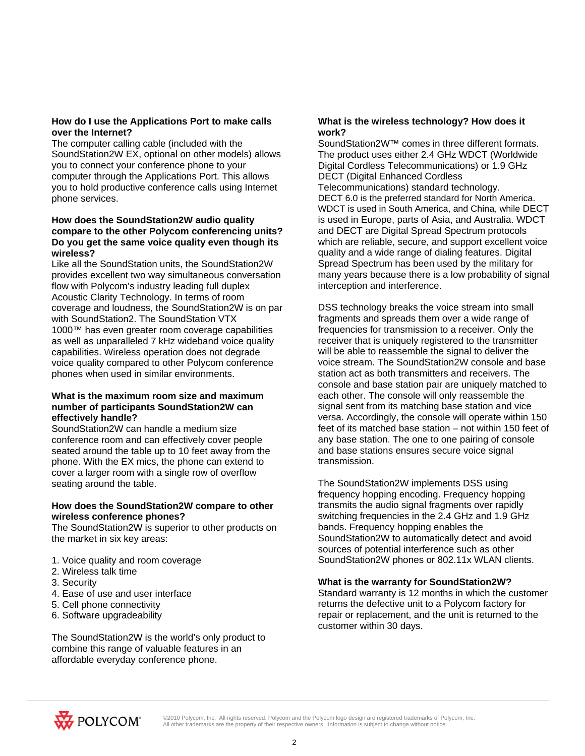## **How do I use the Applications Port to make calls over the Internet?**

The computer calling cable (included with the SoundStation2W EX, optional on other models) allows you to connect your conference phone to your computer through the Applications Port. This allows you to hold productive conference calls using Internet phone services.

## **How does the SoundStation2W audio quality compare to the other Polycom conferencing units? Do you get the same voice quality even though its wireless?**

Like all the SoundStation units, the SoundStation2W provides excellent two way simultaneous conversation flow with Polycom's industry leading full duplex Acoustic Clarity Technology. In terms of room coverage and loudness, the SoundStation2W is on par with SoundStation2. The SoundStation VTX 1000™ has even greater room coverage capabilities as well as unparalleled 7 kHz wideband voice quality capabilities. Wireless operation does not degrade voice quality compared to other Polycom conference phones when used in similar environments.

#### **What is the maximum room size and maximum number of participants SoundStation2W can effectively handle?**

SoundStation2W can handle a medium size conference room and can effectively cover people seated around the table up to 10 feet away from the phone. With the EX mics, the phone can extend to cover a larger room with a single row of overflow seating around the table.

#### **How does the SoundStation2W compare to other wireless conference phones?**

The SoundStation2W is superior to other products on the market in six key areas:

- 1. Voice quality and room coverage
- 2. Wireless talk time
- 3. Security
- 4. Ease of use and user interface
- 5. Cell phone connectivity
- 6. Software upgradeability

The SoundStation2W is the world's only product to combine this range of valuable features in an affordable everyday conference phone.

#### **What is the wireless technology? How does it work?**

SoundStation2W™ comes in three different formats. The product uses either 2.4 GHz WDCT (Worldwide Digital Cordless Telecommunications) or 1.9 GHz DECT (Digital Enhanced Cordless Telecommunications) standard technology. DECT 6.0 is the preferred standard for North America. WDCT is used in South America, and China, while DECT is used in Europe, parts of Asia, and Australia. WDCT and DECT are Digital Spread Spectrum protocols which are reliable, secure, and support excellent voice quality and a wide range of dialing features. Digital Spread Spectrum has been used by the military for many years because there is a low probability of signal interception and interference.

DSS technology breaks the voice stream into small fragments and spreads them over a wide range of frequencies for transmission to a receiver. Only the receiver that is uniquely registered to the transmitter will be able to reassemble the signal to deliver the voice stream. The SoundStation2W console and base station act as both transmitters and receivers. The console and base station pair are uniquely matched to each other. The console will only reassemble the signal sent from its matching base station and vice versa. Accordingly, the console will operate within 150 feet of its matched base station – not within 150 feet of any base station. The one to one pairing of console and base stations ensures secure voice signal transmission.

The SoundStation2W implements DSS using frequency hopping encoding. Frequency hopping transmits the audio signal fragments over rapidly switching frequencies in the 2.4 GHz and 1.9 GHz bands. Frequency hopping enables the SoundStation2W to automatically detect and avoid sources of potential interference such as other SoundStation2W phones or 802.11x WLAN clients.

#### **What is the warranty for SoundStation2W?**

Standard warranty is 12 months in which the customer returns the defective unit to a Polycom factory for repair or replacement, and the unit is returned to the customer within 30 days.



©2010 Polycom, Inc. All rights reserved. Polycom and the Polycom logo design are registered trademarks of Polycom, Inc. All other trademarks are the property of their respective owners. Information is subject to change without notice.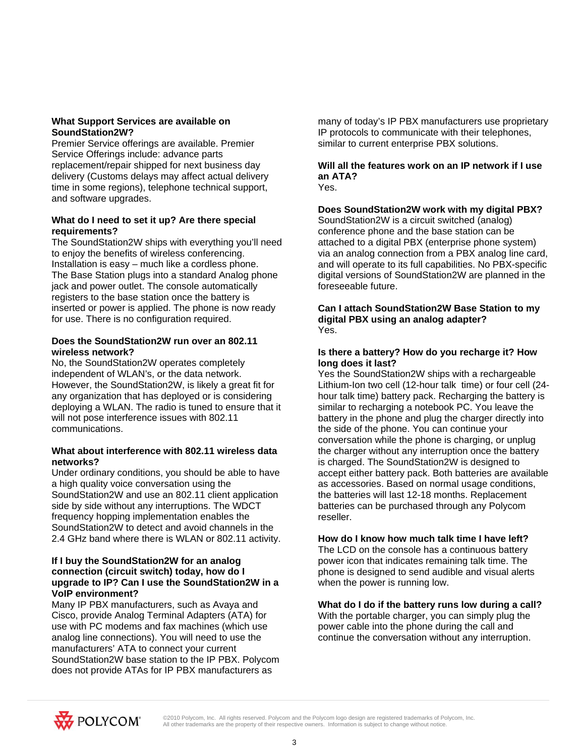## **What Support Services are available on SoundStation2W?**

Premier Service offerings are available. Premier Service Offerings include: advance parts replacement/repair shipped for next business day delivery (Customs delays may affect actual delivery time in some regions), telephone technical support, and software upgrades.

## **What do I need to set it up? Are there special requirements?**

The SoundStation2W ships with everything you'll need to enjoy the benefits of wireless conferencing. Installation is easy – much like a cordless phone. The Base Station plugs into a standard Analog phone jack and power outlet. The console automatically registers to the base station once the battery is inserted or power is applied. The phone is now ready for use. There is no configuration required.

## **Does the SoundStation2W run over an 802.11 wireless network?**

No, the SoundStation2W operates completely independent of WLAN's, or the data network. However, the SoundStation2W, is likely a great fit for any organization that has deployed or is considering deploying a WLAN. The radio is tuned to ensure that it will not pose interference issues with 802.11 communications.

## **What about interference with 802.11 wireless data networks?**

Under ordinary conditions, you should be able to have a high quality voice conversation using the SoundStation2W and use an 802.11 client application side by side without any interruptions. The WDCT frequency hopping implementation enables the SoundStation2W to detect and avoid channels in the 2.4 GHz band where there is WLAN or 802.11 activity.

#### **If I buy the SoundStation2W for an analog connection (circuit switch) today, how do I upgrade to IP? Can I use the SoundStation2W in a VoIP environment?**

Many IP PBX manufacturers, such as Avaya and Cisco, provide Analog Terminal Adapters (ATA) for use with PC modems and fax machines (which use analog line connections). You will need to use the manufacturers' ATA to connect your current SoundStation2W base station to the IP PBX. Polycom does not provide ATAs for IP PBX manufacturers as

many of today's IP PBX manufacturers use proprietary IP protocols to communicate with their telephones, similar to current enterprise PBX solutions.

## **Will all the features work on an IP network if I use an ATA?**

Yes.

## **Does SoundStation2W work with my digital PBX?**

SoundStation2W is a circuit switched (analog) conference phone and the base station can be attached to a digital PBX (enterprise phone system) via an analog connection from a PBX analog line card, and will operate to its full capabilities. No PBX-specific digital versions of SoundStation2W are planned in the foreseeable future.

#### **Can I attach SoundStation2W Base Station to my digital PBX using an analog adapter?**  Yes.

## **Is there a battery? How do you recharge it? How long does it last?**

Yes the SoundStation2W ships with a rechargeable Lithium-Ion two cell (12-hour talk time) or four cell (24 hour talk time) battery pack. Recharging the battery is similar to recharging a notebook PC. You leave the battery in the phone and plug the charger directly into the side of the phone. You can continue your conversation while the phone is charging, or unplug the charger without any interruption once the battery is charged. The SoundStation2W is designed to accept either battery pack. Both batteries are available as accessories. Based on normal usage conditions, the batteries will last 12-18 months. Replacement batteries can be purchased through any Polycom reseller.

## **How do I know how much talk time I have left?**

The LCD on the console has a continuous battery power icon that indicates remaining talk time. The phone is designed to send audible and visual alerts when the power is running low.

## **What do I do if the battery runs low during a call?**

With the portable charger, you can simply plug the power cable into the phone during the call and continue the conversation without any interruption.



©2010 Polycom, Inc. All rights reserved. Polycom and the Polycom logo design are registered trademarks of Polycom, Inc. All other trademarks are the property of their respective owners. Information is subject to change without notice.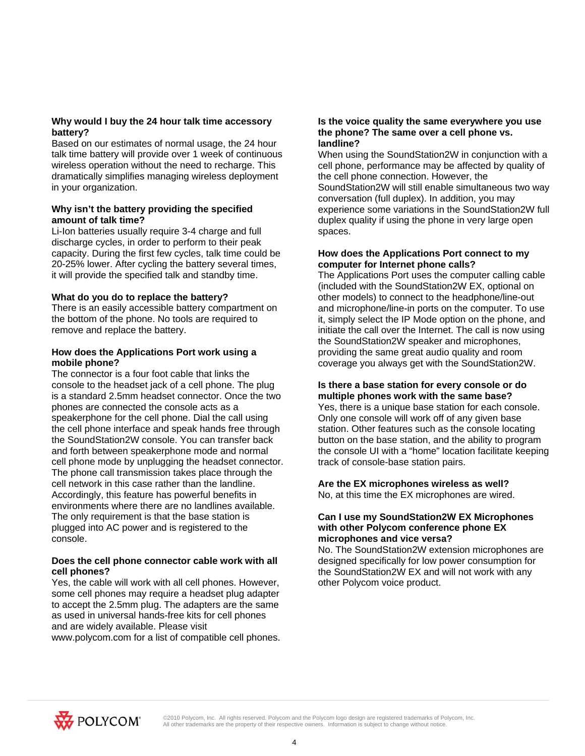## **Why would I buy the 24 hour talk time accessory battery?**

Based on our estimates of normal usage, the 24 hour talk time battery will provide over 1 week of continuous wireless operation without the need to recharge. This dramatically simplifies managing wireless deployment in your organization.

## **Why isn't the battery providing the specified amount of talk time?**

Li-Ion batteries usually require 3-4 charge and full discharge cycles, in order to perform to their peak capacity. During the first few cycles, talk time could be 20-25% lower. After cycling the battery several times, it will provide the specified talk and standby time.

## **What do you do to replace the battery?**

There is an easily accessible battery compartment on the bottom of the phone. No tools are required to remove and replace the battery.

## **How does the Applications Port work using a mobile phone?**

The connector is a four foot cable that links the console to the headset jack of a cell phone. The plug is a standard 2.5mm headset connector. Once the two phones are connected the console acts as a speakerphone for the cell phone. Dial the call using the cell phone interface and speak hands free through the SoundStation2W console. You can transfer back and forth between speakerphone mode and normal cell phone mode by unplugging the headset connector. The phone call transmission takes place through the cell network in this case rather than the landline. Accordingly, this feature has powerful benefits in environments where there are no landlines available. The only requirement is that the base station is plugged into AC power and is registered to the console.

## **Does the cell phone connector cable work with all cell phones?**

Yes, the cable will work with all cell phones. However, some cell phones may require a headset plug adapter to accept the 2.5mm plug. The adapters are the same as used in universal hands-free kits for cell phones and are widely available. Please visit

www.polycom.com for a list of compatible cell phones.

#### **Is the voice quality the same everywhere you use the phone? The same over a cell phone vs. landline?**

When using the SoundStation2W in conjunction with a cell phone, performance may be affected by quality of the cell phone connection. However, the SoundStation2W will still enable simultaneous two way conversation (full duplex). In addition, you may experience some variations in the SoundStation2W full duplex quality if using the phone in very large open spaces.

#### **How does the Applications Port connect to my computer for Internet phone calls?**

The Applications Port uses the computer calling cable (included with the SoundStation2W EX, optional on other models) to connect to the headphone/line-out and microphone/line-in ports on the computer. To use it, simply select the IP Mode option on the phone, and initiate the call over the Internet. The call is now using the SoundStation2W speaker and microphones, providing the same great audio quality and room coverage you always get with the SoundStation2W.

## **Is there a base station for every console or do multiple phones work with the same base?**

Yes, there is a unique base station for each console. Only one console will work off of any given base station. Other features such as the console locating button on the base station, and the ability to program the console UI with a "home" location facilitate keeping track of console-base station pairs.

#### **Are the EX microphones wireless as well?**

No, at this time the EX microphones are wired.

#### **Can I use my SoundStation2W EX Microphones with other Polycom conference phone EX microphones and vice versa?**

No. The SoundStation2W extension microphones are designed specifically for low power consumption for the SoundStation2W EX and will not work with any other Polycom voice product.